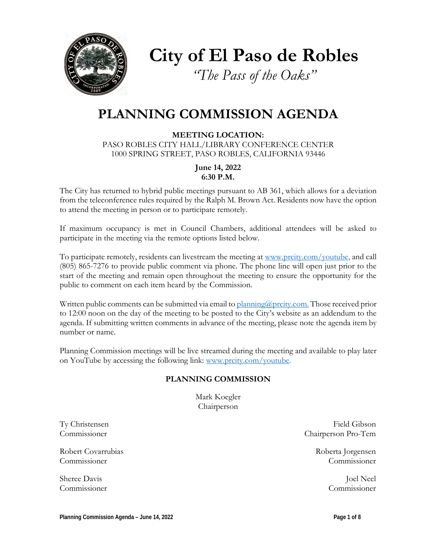

**City of El Paso de Robles**

*"The Pass of the Oaks"*

# **PLANNING COMMISSION AGENDA**

**MEETING LOCATION:** PASO ROBLES CITY HALL/LIBRARY CONFERENCE CENTER 1000 SPRING STREET, PASO ROBLES, CALIFORNIA 93446

> **June 14, 2022 6:30 P.M.**

The City has returned to hybrid public meetings pursuant to AB 361, which allows for a deviation from the teleconference rules required by the Ralph M. Brown Act. Residents now have the option to attend the meeting in person or to participate remotely.

If maximum occupancy is met in Council Chambers, additional attendees will be asked to participate in the meeting via the remote options listed below.

To participate remotely, residents can livestream the meeting at [www.prcity.com/youtube,](http://www.prcity.com/youtube) and call (805) 865-7276 to provide public comment via phone. The phone line will open just prior to the start of the meeting and remain open throughout the meeting to ensure the opportunity for the public to comment on each item heard by the Commission.

Written public comments can be submitted via email to [planning@prcity.com.](mailto:planning@prcity.com) Those received prior to 12:00 noon on the day of the meeting to be posted to the City's website as an addendum to the agenda. If submitting written comments in advance of the meeting, please note the agenda item by number or name.

Planning Commission meetings will be live streamed during the meeting and available to play later on YouTube by accessing the following link: [www.prcity.com/youtube.](http://www.prcity.com/youtube)

# **PLANNING COMMISSION**

Mark Koegler Chairperson

Robert Covarrubias and the covar and the covar and the covar and the covar and the covar and the covar and the covar and the covar and the covar and the covar and the covariance of the covariance of the covariance of the c Commissioner Commissioner

Sheree Davis Joel Neel

Ty Christensen Field Gibson Commissioner Chairperson Pro-Tem

Commissioner Commissioner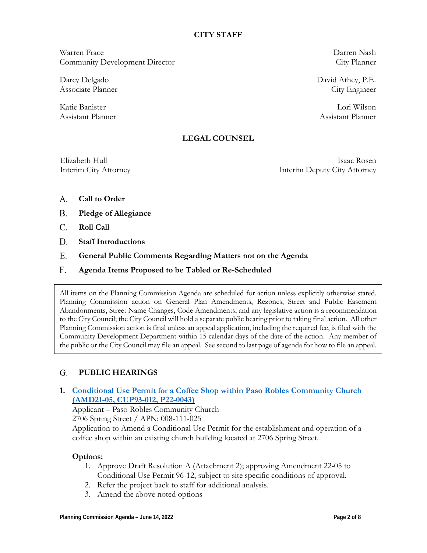### **CITY STAFF**

Warren Frace Darren Nash Community Development Director City Planner

Darcy Delgado David Athey, P.E. Associate Planner City Engineer

Katie Banister Lori Wilson Assistant Planner and Assistant Planner and Assistant Planner and Assistant Planner

## **LEGAL COUNSEL**

Elizabeth Hull Isaac Rosen Interim City Attorney Interim Deputy City Attorney

- **Call to Order** A.
- **Pledge of Allegiance B.**
- **Roll Call**  C.
- **Staff Introductions D.**
- **General Public Comments Regarding Matters not on the Agenda** E.
- **Agenda Items Proposed to be Tabled or Re-Scheduled**  F.

All items on the Planning Commission Agenda are scheduled for action unless explicitly otherwise stated. Planning Commission action on General Plan Amendments, Rezones, Street and Public Easement Abandonments, Street Name Changes, Code Amendments, and any legislative action is a recommendation to the City Council; the City Council will hold a separate public hearing prior to taking final action. All other Planning Commission action is final unless an appeal application, including the required fee, is filed with the Community Development Department within 15 calendar days of the date of the action. Any member of the public or the City Council may file an appeal. See second to last page of agenda for how to file an appeal.

#### **PUBLIC HEARINGS G.**

**1. [Conditional Use Permit](https://www.prcity.com/DocumentCenter/View/34056/June-14-2022-Planning-Commission-Agenda-Item-01-PDF) for a Coffee Shop within Paso Robles Community Church [\(AMD21-05,](https://www.prcity.com/DocumentCenter/View/34056/June-14-2022-Planning-Commission-Agenda-Item-01-PDF) CUP93-012, P22-0043)**

Applicant – Paso Robles Community Church

2706 Spring Street / APN: 008-111-025

Application to Amend a Conditional Use Permit for the establishment and operation of a coffee shop within an existing church building located at 2706 Spring Street.

### **Options:**

- 1. Approve Draft Resolution A (Attachment 2); approving Amendment 22-05 to Conditional Use Permit 96-12, subject to site specific conditions of approval.
- 2. Refer the project back to staff for additional analysis.
- 3. Amend the above noted options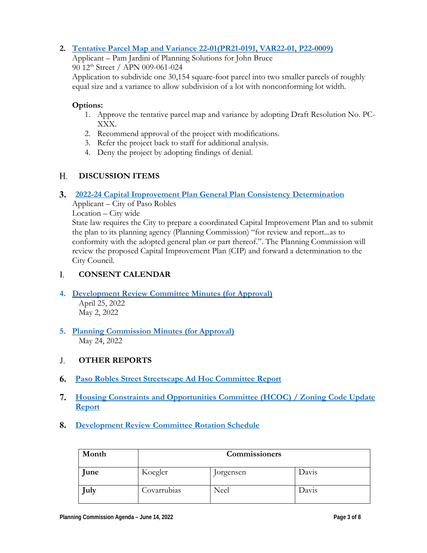# **2. Tentative Parcel Map and Variance [22-01\(PR21-0191,](https://www.prcity.com/DocumentCenter/View/34057/June-14-2022-Planning-Commission-Agenda-Item-02-PDF) VAR22-01, P22-0009)**

Applicant – Pam Jardini of Planning Solutions for John Bruce 90 12th Street / APN 009-061-024

Application to subdivide one 30,154 square-foot parcel into two smaller parcels of roughly equal size and a variance to allow subdivision of a lot with nonconforming lot width.

## **Options:**

- 1. Approve the tentative parcel map and variance by adopting Draft Resolution No. PC-XXX.
- 2. Recommend approval of the project with modifications.
- 3. Refer the project back to staff for additional analysis.
- 4. Deny the project by adopting findings of denial.

#### **DISCUSSION ITEMS**  H.

# **2022-24 Capital [Improvement Plan General Plan Consistency](https://www.prcity.com/DocumentCenter/View/34058/June-14-2022-Planning-Commission-Agenda-Item-03-PDF) Determination** 3.

Applicant – City of Paso Robles

Location – City wide

State law requires the City to prepare a coordinated Capital Improvement Plan and to submit the plan to its planning agency (Planning Commission) "for review and report...as to conformity with the adopted general plan or part thereof.". The Planning Commission will review the proposed Capital Improvement Plan (CIP) and forward a determination to the City Council.

#### **CONSENT CALENDAR** I.

## **4. [Development](https://www.prcity.com/DocumentCenter/View/34059/June-14-2022-Planning-Commission-Agenda-Item-04-PDF) Review Committee Minutes (for Approval)** April 25, 2022 May 2, 2022

**5. [Planning Commission](https://www.prcity.com/DocumentCenter/View/34060/June-14-2022-Planning-Commission-Agenda-Item-05-PDF) Minutes (for Approval)** May 24, 2022

#### **OTHER REPORTS** J.

- **Paso Robles Street [Streetscape](https://www.prcity.com/DocumentCenter/View/34061/June-14-2022-Planning-Commission-Agenda-Item-06-PDF) Ad Hoc Committee Report** 6.
- **Housing Constraints and Opportunities Committee [\(HCOC\) / Zoning](https://www.prcity.com/DocumentCenter/View/34062/June-14-2022-Planning-Commission-Agenda-Item-07-PDF) Code Update [Report](https://www.prcity.com/DocumentCenter/View/34062/June-14-2022-Planning-Commission-Agenda-Item-07-PDF)** 7.
- **[Development](https://www.prcity.com/DocumentCenter/View/34063/June-14-2022-Planning-Commission-Agenda-Item-08-PDF) Review Committee Rotation Schedule**  8.

| Month | Commissioners |           |       |
|-------|---------------|-----------|-------|
| June  | Koegler       | Jorgensen | Davis |
| ∫uly  | Covarrubias   | Neel      | Davis |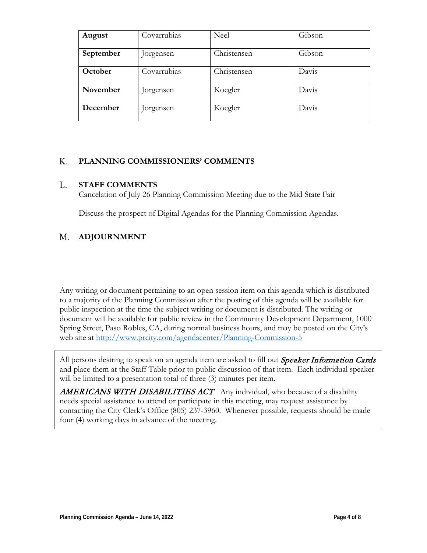| August    | Covarrubias | Neel        | Gibson |
|-----------|-------------|-------------|--------|
| September | Jorgensen   | Christensen | Gibson |
| October   | Covarrubias | Christensen | Davis  |
| November  | Jorgensen   | Koegler     | Davis  |
| December  | Jorgensen   | Koegler     | Davis  |

#### **PLANNING COMMISSIONERS' COMMENTS** K.

#### **STAFF COMMENTS** L.

Cancelation of July 26 Planning Commission Meeting due to the Mid State Fair

Discuss the prospect of Digital Agendas for the Planning Commission Agendas.

#### **ADJOURNMENT** M.

Any writing or document pertaining to an open session item on this agenda which is distributed to a majority of the Planning Commission after the posting of this agenda will be available for public inspection at the time the subject writing or document is distributed. The writing or document will be available for public review in the Community Development Department, 1000 Spring Street, Paso Robles, CA, during normal business hours, and may be posted on the City's web site at <http://www.prcity.com/agendacenter/Planning-Commission-5>

All persons desiring to speak on an agenda item are asked to fill out *Speaker Information Cards* and place them at the Staff Table prior to public discussion of that item. Each individual speaker will be limited to a presentation total of three  $(3)$  minutes per item.

AMERICANS WITH DISABILITIES ACT Any individual, who because of a disability needs special assistance to attend or participate in this meeting, may request assistance by contacting the City Clerk's Office (805) 237-3960. Whenever possible, requests should be made four (4) working days in advance of the meeting.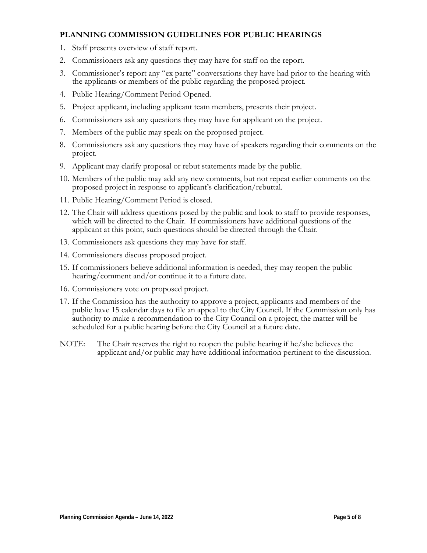# **PLANNING COMMISSION GUIDELINES FOR PUBLIC HEARINGS**

- 1. Staff presents overview of staff report.
- 2. Commissioners ask any questions they may have for staff on the report.
- 3. Commissioner's report any "ex parte" conversations they have had prior to the hearing with the applicants or members of the public regarding the proposed project.
- 4. Public Hearing/Comment Period Opened.
- 5. Project applicant, including applicant team members, presents their project.
- 6. Commissioners ask any questions they may have for applicant on the project.
- 7. Members of the public may speak on the proposed project.
- 8. Commissioners ask any questions they may have of speakers regarding their comments on the project.
- 9. Applicant may clarify proposal or rebut statements made by the public.
- 10. Members of the public may add any new comments, but not repeat earlier comments on the proposed project in response to applicant's clarification/rebuttal.
- 11. Public Hearing/Comment Period is closed.
- 12. The Chair will address questions posed by the public and look to staff to provide responses, which will be directed to the Chair. If commissioners have additional questions of the applicant at this point, such questions should be directed through the Chair.
- 13. Commissioners ask questions they may have for staff.
- 14. Commissioners discuss proposed project.
- 15. If commissioners believe additional information is needed, they may reopen the public hearing/comment and/or continue it to a future date.
- 16. Commissioners vote on proposed project.
- 17. If the Commission has the authority to approve a project, applicants and members of the public have 15 calendar days to file an appeal to the City Council. If the Commission only has authority to make a recommendation to the City Council on a project, the matter will be scheduled for a public hearing before the City Council at a future date.
- NOTE: The Chair reserves the right to reopen the public hearing if he/she believes the applicant and/or public may have additional information pertinent to the discussion.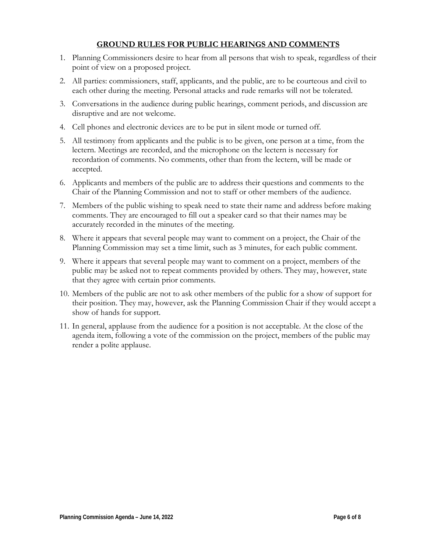# **GROUND RULES FOR PUBLIC HEARINGS AND COMMENTS**

- 1. Planning Commissioners desire to hear from all persons that wish to speak, regardless of their point of view on a proposed project.
- 2. All parties: commissioners, staff, applicants, and the public, are to be courteous and civil to each other during the meeting. Personal attacks and rude remarks will not be tolerated.
- 3. Conversations in the audience during public hearings, comment periods, and discussion are disruptive and are not welcome.
- 4. Cell phones and electronic devices are to be put in silent mode or turned off.
- 5. All testimony from applicants and the public is to be given, one person at a time, from the lectern. Meetings are recorded, and the microphone on the lectern is necessary for recordation of comments. No comments, other than from the lectern, will be made or accepted.
- 6. Applicants and members of the public are to address their questions and comments to the Chair of the Planning Commission and not to staff or other members of the audience.
- 7. Members of the public wishing to speak need to state their name and address before making comments. They are encouraged to fill out a speaker card so that their names may be accurately recorded in the minutes of the meeting.
- 8. Where it appears that several people may want to comment on a project, the Chair of the Planning Commission may set a time limit, such as 3 minutes, for each public comment.
- 9. Where it appears that several people may want to comment on a project, members of the public may be asked not to repeat comments provided by others. They may, however, state that they agree with certain prior comments.
- 10. Members of the public are not to ask other members of the public for a show of support for their position. They may, however, ask the Planning Commission Chair if they would accept a show of hands for support.
- 11. In general, applause from the audience for a position is not acceptable. At the close of the agenda item, following a vote of the commission on the project, members of the public may render a polite applause.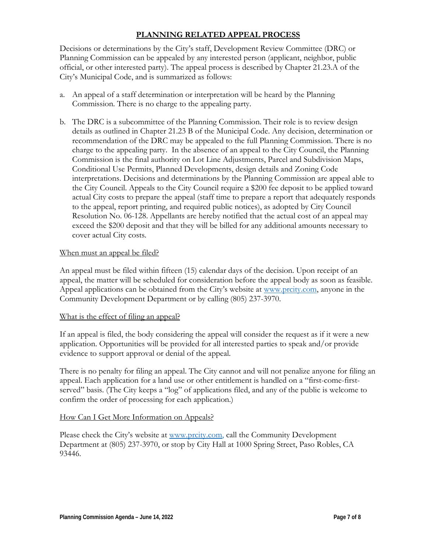# **PLANNING RELATED APPEAL PROCESS**

Decisions or determinations by the City's staff, Development Review Committee (DRC) or Planning Commission can be appealed by any interested person (applicant, neighbor, public official, or other interested party). The appeal process is described by Chapter 21.23.A of the City's Municipal Code, and is summarized as follows:

- a. An appeal of a staff determination or interpretation will be heard by the Planning Commission. There is no charge to the appealing party.
- b. The DRC is a subcommittee of the Planning Commission. Their role is to review design details as outlined in Chapter 21.23 B of the Municipal Code. Any decision, determination or recommendation of the DRC may be appealed to the full Planning Commission. There is no charge to the appealing party. In the absence of an appeal to the City Council, the Planning Commission is the final authority on Lot Line Adjustments, Parcel and Subdivision Maps, Conditional Use Permits, Planned Developments, design details and Zoning Code interpretations. Decisions and determinations by the Planning Commission are appeal able to the City Council. Appeals to the City Council require a \$200 fee deposit to be applied toward actual City costs to prepare the appeal (staff time to prepare a report that adequately responds to the appeal, report printing, and required public notices), as adopted by City Council Resolution No. 06-128. Appellants are hereby notified that the actual cost of an appeal may exceed the \$200 deposit and that they will be billed for any additional amounts necessary to cover actual City costs.

### When must an appeal be filed?

An appeal must be filed within fifteen (15) calendar days of the decision. Upon receipt of an appeal, the matter will be scheduled for consideration before the appeal body as soon as feasible. Appeal applications can be obtained from the City's website at [www.prcity.com,](http://www.prcity.com/) anyone in the Community Development Department or by calling (805) 237-3970.

### What is the effect of filing an appeal?

If an appeal is filed, the body considering the appeal will consider the request as if it were a new application. Opportunities will be provided for all interested parties to speak and/or provide evidence to support approval or denial of the appeal.

There is no penalty for filing an appeal. The City cannot and will not penalize anyone for filing an appeal. Each application for a land use or other entitlement is handled on a "first-come-firstserved" basis. (The City keeps a "log" of applications filed, and any of the public is welcome to confirm the order of processing for each application.)

### How Can I Get More Information on Appeals?

Please check the City's website at [www.prcity.com,](http://www.prcity.com/) call the Community Development Department at (805) 237-3970, or stop by City Hall at 1000 Spring Street, Paso Robles, CA 93446.